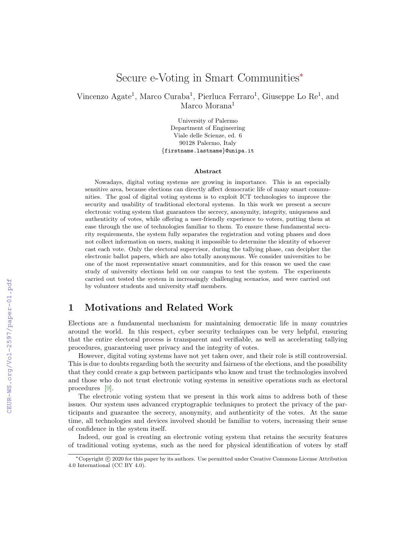# Secure e-Voting in Smart Communities<sup>∗</sup>

Vincenzo Agate<sup>1</sup>, Marco Curaba<sup>1</sup>, Pierluca Ferraro<sup>1</sup>, Giuseppe Lo Re<sup>1</sup>, and Marco Morana<sup>1</sup>

> University of Palermo Department of Engineering Viale delle Scienze, ed. 6 90128 Palermo, Italy {firstname.lastname}@unipa.it

#### Abstract

Nowadays, digital voting systems are growing in importance. This is an especially sensitive area, because elections can directly affect democratic life of many smart communities. The goal of digital voting systems is to exploit ICT technologies to improve the security and usability of traditional electoral systems. In this work we present a secure electronic voting system that guarantees the secrecy, anonymity, integrity, uniqueness and authenticity of votes, while offering a user-friendly experience to voters, putting them at ease through the use of technologies familiar to them. To ensure these fundamental security requirements, the system fully separates the registration and voting phases and does not collect information on users, making it impossible to determine the identity of whoever cast each vote. Only the electoral supervisor, during the tallying phase, can decipher the electronic ballot papers, which are also totally anonymous. We consider universities to be one of the most representative smart communities, and for this reason we used the case study of university elections held on our campus to test the system. The experiments carried out tested the system in increasingly challenging scenarios, and were carried out by volunteer students and university staff members.

## 1 Motivations and Related Work

Elections are a fundamental mechanism for maintaining democratic life in many countries around the world. In this respect, cyber security techniques can be very helpful, ensuring that the entire electoral process is transparent and verifiable, as well as accelerating tallying procedures, guaranteeing user privacy and the integrity of votes.

However, digital voting systems have not yet taken over, and their role is still controversial. This is due to doubts regarding both the security and fairness of the elections, and the possibility that they could create a gap between participants who know and trust the technologies involved and those who do not trust electronic voting systems in sensitive operations such as electoral procedures [\[9\]](#page--1-0).

The electronic voting system that we present in this work aims to address both of these issues. Our system uses advanced cryptographic techniques to protect the privacy of the participants and guarantee the secrecy, anonymity, and authenticity of the votes. At the same time, all technologies and devices involved should be familiar to voters, increasing their sense of confidence in the system itself.

Indeed, our goal is creating an electronic voting system that retains the security features of traditional voting systems, such as the need for physical identification of voters by staff

<sup>∗</sup>Copyright c 2020 for this paper by its authors. Use permitted under Creative Commons License Attribution 4.0 International (CC BY 4.0).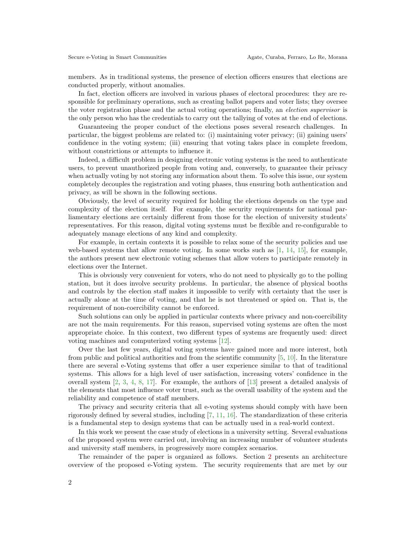members. As in traditional systems, the presence of election officers ensures that elections are conducted properly, without anomalies.

In fact, election officers are involved in various phases of electoral procedures: they are responsible for preliminary operations, such as creating ballot papers and voter lists; they oversee the voter registration phase and the actual voting operations; finally, an election supervisor is the only person who has the credentials to carry out the tallying of votes at the end of elections.

Guaranteeing the proper conduct of the elections poses several research challenges. In particular, the biggest problems are related to: (i) maintaining voter privacy; (ii) gaining users' confidence in the voting system; (iii) ensuring that voting takes place in complete freedom, without constrictions or attempts to influence it.

Indeed, a difficult problem in designing electronic voting systems is the need to authenticate users, to prevent unauthorized people from voting and, conversely, to guarantee their privacy when actually voting by not storing any information about them. To solve this issue, our system completely decouples the registration and voting phases, thus ensuring both authentication and privacy, as will be shown in the following sections.

Obviously, the level of security required for holding the elections depends on the type and complexity of the election itself. For example, the security requirements for national parliamentary elections are certainly different from those for the election of university students' representatives. For this reason, digital voting systems must be flexible and re-configurable to adequately manage elections of any kind and complexity.

For example, in certain contexts it is possible to relax some of the security policies and use web-based systems that allow remote voting. In some works such as  $[1, 14, 15]$  $[1, 14, 15]$  $[1, 14, 15]$  $[1, 14, 15]$  $[1, 14, 15]$ , for example, the authors present new electronic voting schemes that allow voters to participate remotely in elections over the Internet.

This is obviously very convenient for voters, who do not need to physically go to the polling station, but it does involve security problems. In particular, the absence of physical booths and controls by the election staff makes it impossible to verify with certainty that the user is actually alone at the time of voting, and that he is not threatened or spied on. That is, the requirement of non-coercibility cannot be enforced.

Such solutions can only be applied in particular contexts where privacy and non-coercibility are not the main requirements. For this reason, supervised voting systems are often the most appropriate choice. In this context, two different types of systems are frequently used: direct voting machines and computerized voting systems [\[12\]](#page-10-3).

Over the last few years, digital voting systems have gained more and more interest, both from public and political authorities and from the scientific community [\[5,](#page-10-4) [10\]](#page-10-5). In the literature there are several e-Voting systems that offer a user experience similar to that of traditional systems. This allows for a high level of user satisfaction, increasing voters' confidence in the overall system  $[2, 3, 4, 8, 17]$  $[2, 3, 4, 8, 17]$  $[2, 3, 4, 8, 17]$  $[2, 3, 4, 8, 17]$  $[2, 3, 4, 8, 17]$  $[2, 3, 4, 8, 17]$  $[2, 3, 4, 8, 17]$  $[2, 3, 4, 8, 17]$  $[2, 3, 4, 8, 17]$ . For example, the authors of  $[13]$  present a detailed analysis of the elements that most influence voter trust, such as the overall usability of the system and the reliability and competence of staff members.

The privacy and security criteria that all e-voting systems should comply with have been rigorously defined by several studies, including [\[7,](#page-10-12) [11,](#page-10-13) [16\]](#page-10-14). The standardization of these criteria is a fundamental step to design systems that can be actually used in a real-world context.

In this work we present the case study of elections in a university setting. Several evaluations of the proposed system were carried out, involving an increasing number of volunteer students and university staff members, in progressively more complex scenarios.

The remainder of the paper is organized as follows. Section [2](#page-2-0) presents an architecture overview of the proposed e-Voting system. The security requirements that are met by our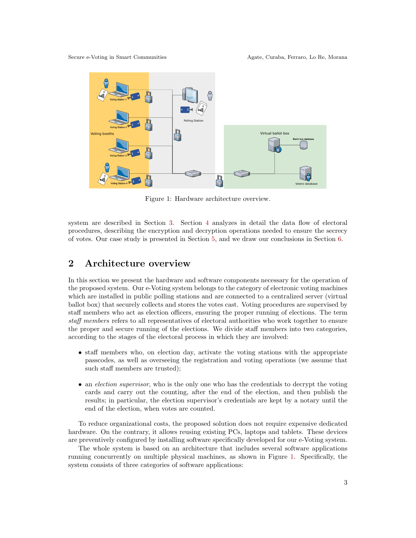<span id="page-2-1"></span>

Figure 1: Hardware architecture overview.

system are described in Section [3.](#page-3-0) Section [4](#page-5-0) analyzes in detail the data flow of electoral procedures, describing the encryption and decryption operations needed to ensure the secrecy of votes. Our case study is presented in Section [5,](#page-7-0) and we draw our conclusions in Section [6.](#page-9-0)

#### <span id="page-2-0"></span>2 Architecture overview

In this section we present the hardware and software components necessary for the operation of the proposed system. Our e-Voting system belongs to the category of electronic voting machines which are installed in public polling stations and are connected to a centralized server (virtual ballot box) that securely collects and stores the votes cast. Voting procedures are supervised by staff members who act as election officers, ensuring the proper running of elections. The term staff members refers to all representatives of electoral authorities who work together to ensure the proper and secure running of the elections. We divide staff members into two categories, according to the stages of the electoral process in which they are involved:

- staff members who, on election day, activate the voting stations with the appropriate passcodes, as well as overseeing the registration and voting operations (we assume that such staff members are trusted);
- an *election supervisor*, who is the only one who has the credentials to decrypt the voting cards and carry out the counting, after the end of the election, and then publish the results; in particular, the election supervisor's credentials are kept by a notary until the end of the election, when votes are counted.

To reduce organizational costs, the proposed solution does not require expensive dedicated hardware. On the contrary, it allows reusing existing PCs, laptops and tablets. These devices are preventively configured by installing software specifically developed for our e-Voting system.

The whole system is based on an architecture that includes several software applications running concurrently on multiple physical machines, as shown in Figure [1.](#page-2-1) Specifically, the system consists of three categories of software applications: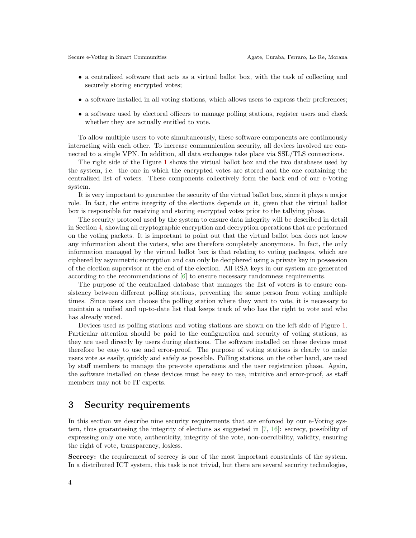- a centralized software that acts as a virtual ballot box, with the task of collecting and securely storing encrypted votes;
- a software installed in all voting stations, which allows users to express their preferences;
- a software used by electoral officers to manage polling stations, register users and check whether they are actually entitled to vote.

To allow multiple users to vote simultaneously, these software components are continuously interacting with each other. To increase communication security, all devices involved are connected to a single VPN. In addition, all data exchanges take place via SSL/TLS connections.

The right side of the Figure [1](#page-2-1) shows the virtual ballot box and the two databases used by the system, i.e. the one in which the encrypted votes are stored and the one containing the centralized list of voters. These components collectively form the back end of our e-Voting system.

It is very important to guarantee the security of the virtual ballot box, since it plays a major role. In fact, the entire integrity of the elections depends on it, given that the virtual ballot box is responsible for receiving and storing encrypted votes prior to the tallying phase.

The security protocol used by the system to ensure data integrity will be described in detail in Section [4,](#page-5-0) showing all cryptographic encryption and decryption operations that are performed on the voting packets. It is important to point out that the virtual ballot box does not know any information about the voters, who are therefore completely anonymous. In fact, the only information managed by the virtual ballot box is that relating to voting packages, which are ciphered by asymmetric encryption and can only be deciphered using a private key in possession of the election supervisor at the end of the election. All RSA keys in our system are generated according to the recommendations of [\[6\]](#page-10-15) to ensure necessary randomness requirements.

The purpose of the centralized database that manages the list of voters is to ensure consistency between different polling stations, preventing the same person from voting multiple times. Since users can choose the polling station where they want to vote, it is necessary to maintain a unified and up-to-date list that keeps track of who has the right to vote and who has already voted.

Devices used as polling stations and voting stations are shown on the left side of Figure [1.](#page-2-1) Particular attention should be paid to the configuration and security of voting stations, as they are used directly by users during elections. The software installed on these devices must therefore be easy to use and error-proof. The purpose of voting stations is clearly to make users vote as easily, quickly and safely as possible. Polling stations, on the other hand, are used by staff members to manage the pre-vote operations and the user registration phase. Again, the software installed on these devices must be easy to use, intuitive and error-proof, as staff members may not be IT experts.

# <span id="page-3-0"></span>3 Security requirements

In this section we describe nine security requirements that are enforced by our e-Voting system, thus guaranteeing the integrity of elections as suggested in [\[7,](#page-10-12) [16\]](#page-10-14): secrecy, possibility of expressing only one vote, authenticity, integrity of the vote, non-coercibility, validity, ensuring the right of vote, transparency, losless.

Secrecy: the requirement of secrecy is one of the most important constraints of the system. In a distributed ICT system, this task is not trivial, but there are several security technologies,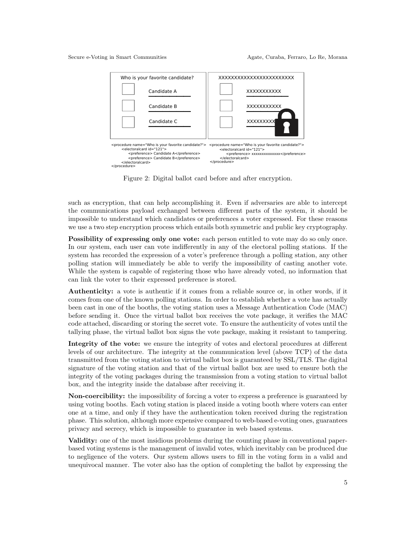<span id="page-4-0"></span>

Figure 2: Digital ballot card before and after encryption.

such as encryption, that can help accomplishing it. Even if adversaries are able to intercept the communications payload exchanged between different parts of the system, it should be impossible to understand which candidates or preferences a voter expressed. For these reasons we use a two step encryption process which entails both symmetric and public key cryptography.

Possibility of expressing only one vote: each person entitled to vote may do so only once. In our system, each user can vote indifferently in any of the electoral polling stations. If the system has recorded the expression of a voter's preference through a polling station, any other polling station will immediately be able to verify the impossibility of casting another vote. While the system is capable of registering those who have already voted, no information that can link the voter to their expressed preference is stored.

Authenticity: a vote is authentic if it comes from a reliable source or, in other words, if it comes from one of the known polling stations. In order to establish whether a vote has actually been cast in one of the booths, the voting station uses a Message Authentication Code (MAC) before sending it. Once the virtual ballot box receives the vote package, it verifies the MAC code attached, discarding or storing the secret vote. To ensure the authenticity of votes until the tallying phase, the virtual ballot box signs the vote package, making it resistant to tampering.

Integrity of the vote: we ensure the integrity of votes and electoral procedures at different levels of our architecture. The integrity at the communication level (above TCP) of the data transmitted from the voting station to virtual ballot box is guaranteed by SSL/TLS. The digital signature of the voting station and that of the virtual ballot box are used to ensure both the integrity of the voting packages during the transmission from a voting station to virtual ballot box, and the integrity inside the database after receiving it.

Non-coercibility: the impossibility of forcing a voter to express a preference is guaranteed by using voting booths. Each voting station is placed inside a voting booth where voters can enter one at a time, and only if they have the authentication token received during the registration phase. This solution, although more expensive compared to web-based e-voting ones, guarantees privacy and secrecy, which is impossible to guarantee in web based systems.

Validity: one of the most insidious problems during the counting phase in conventional paperbased voting systems is the management of invalid votes, which inevitably can be produced due to negligence of the voters. Our system allows users to fill in the voting form in a valid and unequivocal manner. The voter also has the option of completing the ballot by expressing the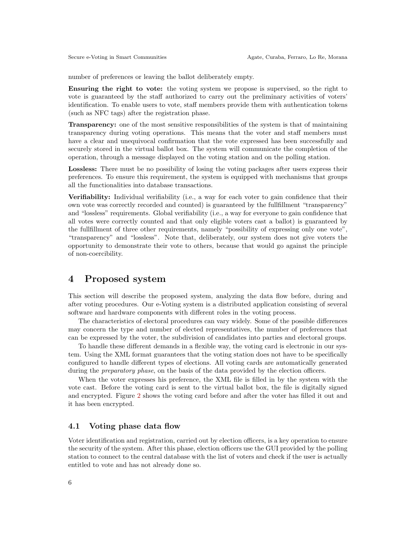number of preferences or leaving the ballot deliberately empty.

Ensuring the right to vote: the voting system we propose is supervised, so the right to vote is guaranteed by the staff authorized to carry out the preliminary activities of voters' identification. To enable users to vote, staff members provide them with authentication tokens (such as NFC tags) after the registration phase.

Transparency: one of the most sensitive responsibilities of the system is that of maintaining transparency during voting operations. This means that the voter and staff members must have a clear and unequivocal confirmation that the vote expressed has been successfully and securely stored in the virtual ballot box. The system will communicate the completion of the operation, through a message displayed on the voting station and on the polling station.

Lossless: There must be no possibility of losing the voting packages after users express their preferences. To ensure this requirement, the system is equipped with mechanisms that groups all the functionalities into database transactions.

Verifiability: Individual verifiability (i.e., a way for each voter to gain confidence that their own vote was correctly recorded and counted) is guaranteed by the fullfillment "transparency" and "lossless" requirements. Global verifiability (i.e., a way for everyone to gain confidence that all votes were correctly counted and that only eligible voters cast a ballot) is guaranteed by the fullfillment of three other requirements, namely "possibility of expressing only one vote", "transparency" and "lossless". Note that, deliberately, our system does not give voters the opportunity to demonstrate their vote to others, because that would go against the principle of non-coercibility.

#### <span id="page-5-0"></span>4 Proposed system

This section will describe the proposed system, analyzing the data flow before, during and after voting procedures. Our e-Voting system is a distributed application consisting of several software and hardware components with different roles in the voting process.

The characteristics of electoral procedures can vary widely. Some of the possible differences may concern the type and number of elected representatives, the number of preferences that can be expressed by the voter, the subdivision of candidates into parties and electoral groups.

To handle these different demands in a flexible way, the voting card is electronic in our system. Using the XML format guarantees that the voting station does not have to be specifically configured to handle different types of elections. All voting cards are automatically generated during the *preparatory phase*, on the basis of the data provided by the election officers.

When the voter expresses his preference, the XML file is filled in by the system with the vote cast. Before the voting card is sent to the virtual ballot box, the file is digitally signed and encrypted. Figure [2](#page-4-0) shows the voting card before and after the voter has filled it out and it has been encrypted.

#### 4.1 Voting phase data flow

Voter identification and registration, carried out by election officers, is a key operation to ensure the security of the system. After this phase, election officers use the GUI provided by the polling station to connect to the central database with the list of voters and check if the user is actually entitled to vote and has not already done so.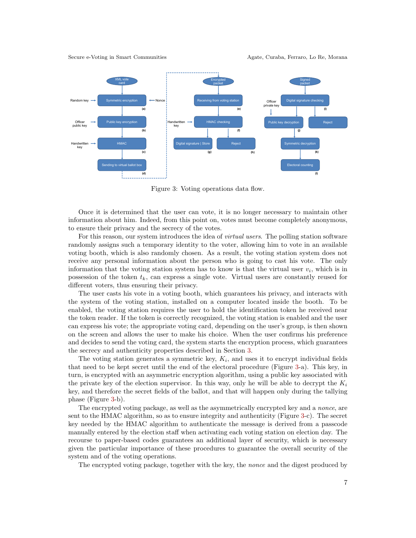Secure e-Voting in Smart Communities Agate, Curaba, Ferraro, Lo Re, Morana

<span id="page-6-0"></span>

Figure 3: Voting operations data flow.

Once it is determined that the user can vote, it is no longer necessary to maintain other information about him. Indeed, from this point on, votes must become completely anonymous, to ensure their privacy and the secrecy of the votes.

For this reason, our system introduces the idea of *virtual users*. The polling station software randomly assigns such a temporary identity to the voter, allowing him to vote in an available voting booth, which is also randomly chosen. As a result, the voting station system does not receive any personal information about the person who is going to cast his vote. The only information that the voting station system has to know is that the virtual user  $v_i$ , which is in possession of the token  $t_k$ , can express a single vote. Virtual users are constantly reused for different voters, thus ensuring their privacy.

The user casts his vote in a voting booth, which guarantees his privacy, and interacts with the system of the voting station, installed on a computer located inside the booth. To be enabled, the voting station requires the user to hold the identification token he received near the token reader. If the token is correctly recognized, the voting station is enabled and the user can express his vote; the appropriate voting card, depending on the user's group, is then shown on the screen and allows the user to make his choice. When the user confirms his preference and decides to send the voting card, the system starts the encryption process, which guarantees the secrecy and authenticity properties described in Section [3.](#page-3-0)

The voting station generates a symmetric key,  $K_i$ , and uses it to encrypt individual fields that need to be kept secret until the end of the electoral procedure (Figure [3-](#page-6-0)a). This key, in turn, is encrypted with an asymmetric encryption algorithm, using a public key associated with the private key of the election supervisor. In this way, only he will be able to decrypt the  $K_i$ key, and therefore the secret fields of the ballot, and that will happen only during the tallying phase (Figure [3-](#page-6-0)b).

The encrypted voting package, as well as the asymmetrically encrypted key and a nonce, are sent to the HMAC algorithm, so as to ensure integrity and authenticity (Figure [3-](#page-6-0)c). The secret key needed by the HMAC algorithm to authenticate the message is derived from a passcode manually entered by the election staff when activating each voting station on election day. The recourse to paper-based codes guarantees an additional layer of security, which is necessary given the particular importance of these procedures to guarantee the overall security of the system and of the voting operations.

The encrypted voting package, together with the key, the nonce and the digest produced by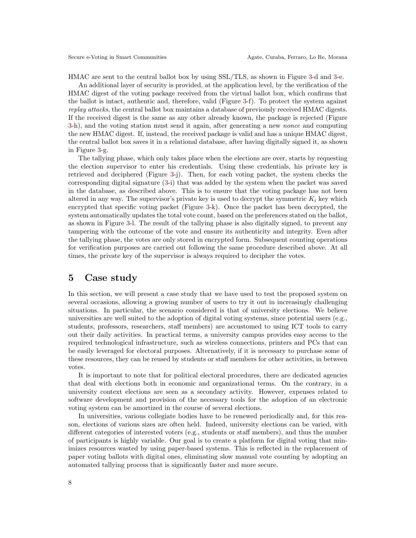HMAC are sent to the central ballot box by using SSL/TLS, as shown in Figure [3-](#page-6-0)d and [3-](#page-6-0)e.

An additional layer of security is provided, at the application level, by the verification of the HMAC digest of the voting package received from the virtual ballot box, which confirms that the ballot is intact, authentic and, therefore, valid (Figure [3-](#page-6-0)f). To protect the system against replay attacks, the central ballot box maintains a database of previously received HMAC digests. If the received digest is the same as any other already known, the package is rejected (Figure [3-](#page-6-0)h), and the voting station must send it again, after generating a new nonce and computing the new HMAC digest. If, instead, the received package is valid and has a unique HMAC digest, the central ballot box saves it in a relational database, after having digitally signed it, as shown in Figure [3-](#page-6-0)g.

The tallying phase, which only takes place when the elections are over, starts by requesting the election supervisor to enter his credentials. Using these credentials, his private key is retrieved and deciphered (Figure [3-](#page-6-0)j). Then, for each voting packet, the system checks the corresponding digital signature [\(3-](#page-6-0)i) that was added by the system when the packet was saved in the database, as described above. This is to ensure that the voting package has not been altered in any way. The supervisor's private key is used to decrypt the symmetric  $K_i$  key which encrypted that specific voting packet (Figure [3-](#page-6-0)k). Once the packet has been decrypted, the system automatically updates the total vote count, based on the preferences stated on the ballot, as shown in Figure [3-](#page-6-0)l. The result of the tallying phase is also digitally signed, to prevent any tampering with the outcome of the vote and ensure its authenticity and integrity. Even after the tallying phase, the votes are only stored in encrypted form. Subsequent counting operations for verification purposes are carried out following the same procedure described above. At all times, the private key of the supervisor is always required to decipher the votes.

### <span id="page-7-0"></span>5 Case study

In this section, we will present a case study that we have used to test the proposed system on several occasions, allowing a growing number of users to try it out in increasingly challenging situations. In particular, the scenario considered is that of university elections. We believe universities are well suited to the adoption of digital voting systems, since potential users (e.g., students, professors, researchers, staff members) are accustomed to using ICT tools to carry out their daily activities. In practical terms, a university campus provides easy access to the required technological infrastructure, such as wireless connections, printers and PCs that can be easily leveraged for electoral purposes. Alternatively, if it is necessary to purchase some of these resources, they can be reused by students or staff members for other activities, in between votes.

It is important to note that for political electoral procedures, there are dedicated agencies that deal with elections both in economic and organizational terms. On the contrary, in a university context elections are seen as a secondary activity. However, expenses related to software development and provision of the necessary tools for the adoption of an electronic voting system can be amortized in the course of several elections.

In universities, various collegiate bodies have to be renewed periodically and, for this reason, elections of various sizes are often held. Indeed, university elections can be varied, with different categories of interested voters (e.g., students or staff members), and thus the number of participants is highly variable. Our goal is to create a platform for digital voting that minimizes resources wasted by using paper-based systems. This is reflected in the replacement of paper voting ballots with digital ones, eliminating slow manual vote counting by adopting an automated tallying process that is significantly faster and more secure.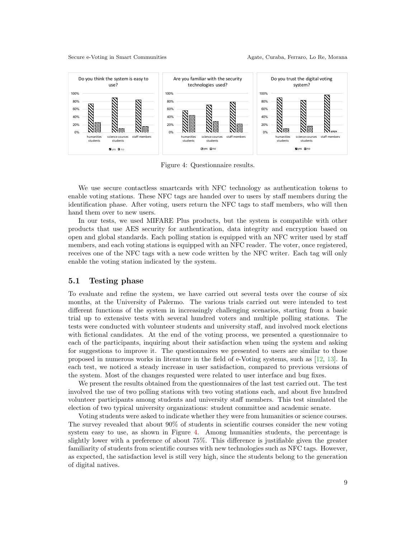<span id="page-8-0"></span>

Figure 4: Questionnaire results.

We use secure contactless smartcards with NFC technology as authentication tokens to enable voting stations. These NFC tags are handed over to users by staff members during the identification phase. After voting, users return the NFC tags to staff members, who will then hand them over to new users.

In our tests, we used MIFARE Plus products, but the system is compatible with other products that use AES security for authentication, data integrity and encryption based on open and global standards. Each polling station is equipped with an NFC writer used by staff members, and each voting stations is equipped with an NFC reader. The voter, once registered, receives one of the NFC tags with a new code written by the NFC writer. Each tag will only enable the voting station indicated by the system.

#### 5.1 Testing phase

To evaluate and refine the system, we have carried out several tests over the course of six months, at the University of Palermo. The various trials carried out were intended to test different functions of the system in increasingly challenging scenarios, starting from a basic trial up to extensive tests with several hundred voters and multiple polling stations. The tests were conducted with volunteer students and university staff, and involved mock elections with fictional candidates. At the end of the voting process, we presented a questionnaire to each of the participants, inquiring about their satisfaction when using the system and asking for suggestions to improve it. The questionnaires we presented to users are similar to those proposed in numerous works in literature in the field of e-Voting systems, such as [\[12,](#page-10-3) [13\]](#page-10-11). In each test, we noticed a steady increase in user satisfaction, compared to previous versions of the system. Most of the changes requested were related to user interface and bug fixes.

We present the results obtained from the questionnaires of the last test carried out. The test involved the use of two polling stations with two voting stations each, and about five hundred volunteer participants among students and university staff members. This test simulated the election of two typical university organizations: student committee and academic senate.

Voting students were asked to indicate whether they were from humanities or science courses. The survey revealed that about 90% of students in scientific courses consider the new voting system easy to use, as shown in Figure [4.](#page-8-0) Among humanities students, the percentage is slightly lower with a preference of about 75%. This difference is justifiable given the greater familiarity of students from scientific courses with new technologies such as NFC tags. However, as expected, the satisfaction level is still very high, since the students belong to the generation of digital natives.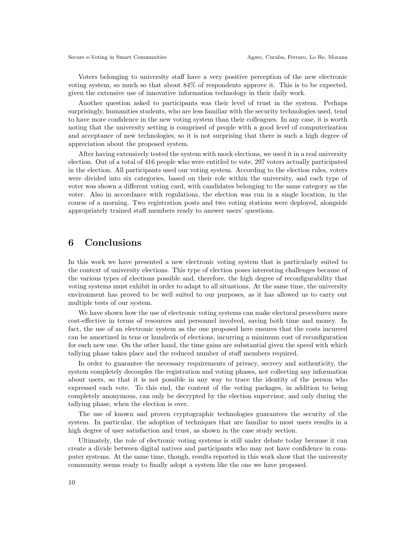Voters belonging to university staff have a very positive perception of the new electronic voting system, so much so that about 84% of respondents approve it. This is to be expected, given the extensive use of innovative information technology in their daily work.

Another question asked to participants was their level of trust in the system. Perhaps surprisingly, humanities students, who are less familiar with the security technologies used, tend to have more confidence in the new voting system than their colleagues. In any case, it is worth noting that the university setting is comprised of people with a good level of computerization and acceptance of new technologies, so it is not surprising that there is such a high degree of appreciation about the proposed system.

After having extensively tested the system with mock elections, we used it in a real university election. Out of a total of 416 people who were entitled to vote, 297 voters actually participated in the election. All participants used our voting system. According to the election rules, voters were divided into six categories, based on their role within the university, and each type of voter was shown a different voting card, with candidates belonging to the same category as the voter. Also in accordance with regulations, the election was run in a single location, in the course of a morning. Two registration posts and two voting stations were deployed, alongside appropriately trained staff members ready to answer users' questions.

#### <span id="page-9-0"></span>6 Conclusions

In this work we have presented a new electronic voting system that is particularly suited to the context of university elections. This type of election poses interesting challenges because of the various types of elections possible and, therefore, the high degree of reconfigurability that voting systems must exhibit in order to adapt to all situations. At the same time, the university environment has proved to be well suited to our purposes, as it has allowed us to carry out multiple tests of our system.

We have shown how the use of electronic voting systems can make electoral procedures more cost-effective in terms of resources and personnel involved, saving both time and money. In fact, the use of an electronic system as the one proposed here ensures that the costs incurred can be amortized in tens or hundreds of elections, incurring a minimum cost of reconfiguration for each new one. On the other hand, the time gains are substantial given the speed with which tallying phase takes place and the reduced number of staff members required.

In order to guarantee the necessary requirements of privacy, secrecy and authenticity, the system completely decouples the registration and voting phases, not collecting any information about users, so that it is not possible in any way to trace the identity of the person who expressed each vote. To this end, the content of the voting packages, in addition to being completely anonymous, can only be decrypted by the election supervisor, and only during the tallying phase, when the election is over.

The use of known and proven cryptographic technologies guarantees the security of the system. In particular, the adoption of techniques that are familiar to most users results in a high degree of user satisfaction and trust, as shown in the case study section.

Ultimately, the role of electronic voting systems is still under debate today because it can create a divide between digital natives and participants who may not have confidence in computer systems. At the same time, though, results reported in this work show that the university community seems ready to finally adopt a system like the one we have proposed.